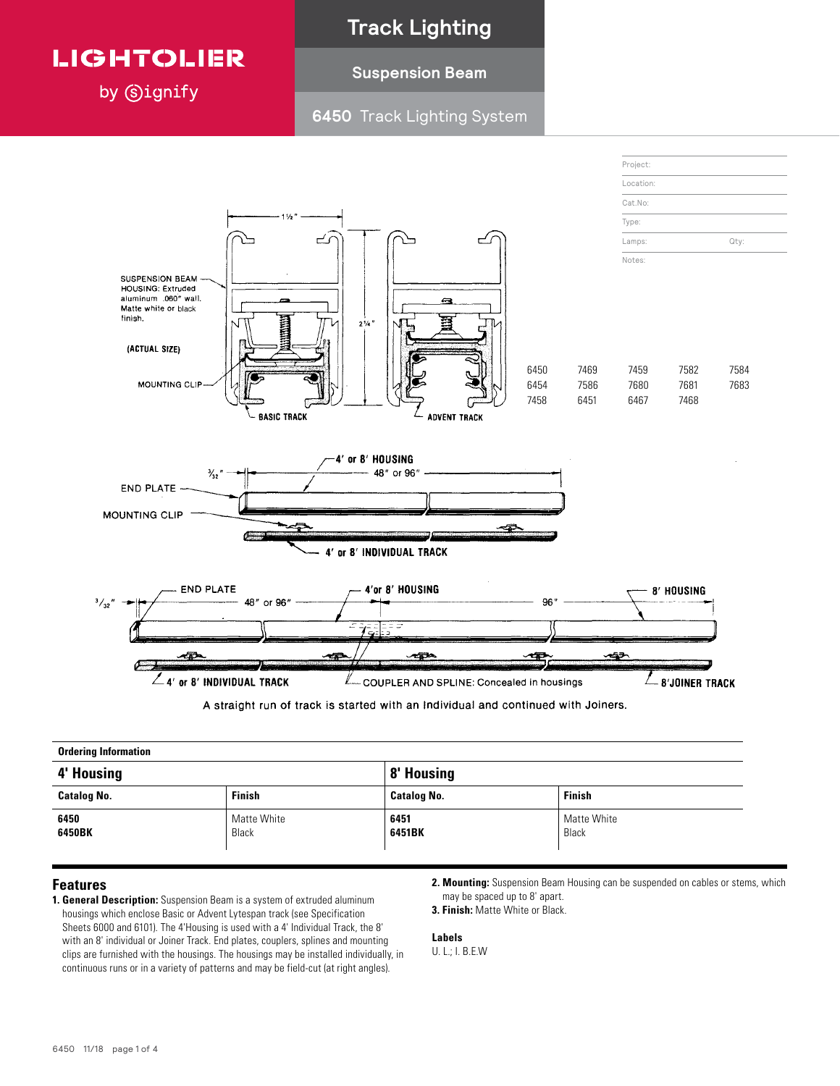

by **Signify** 

### **Track Lighting**

### **Suspension Beam**

### **6450** Track Lighting System



A straight run of track is started with an Individual and continued with Joiners.

| <b>Ordering Information</b> |                      |                    |                      |
|-----------------------------|----------------------|--------------------|----------------------|
| 4' Housing                  |                      | 8' Housing         |                      |
| <b>Catalog No.</b>          | <b>Finish</b>        | <b>Catalog No.</b> | <b>Finish</b>        |
| 6450<br>6450BK              | Matte White<br>Black | 6451<br>6451BK     | Matte White<br>Black |

### **Features**

- **1. General Description:** Suspension Beam is a system of extruded aluminum housings which enclose Basic or Advent Lytespan track (see Specification Sheets 6000 and 6101). The 4'Housing is used with a 4' Individual Track, the 8' with an 8' individual or Joiner Track. End plates, couplers, splines and mounting clips are furnished with the housings. The housings may be installed individually, in continuous runs or in a variety of patterns and may be field-cut (at right angles).
- **2. Mounting:** Suspension Beam Housing can be suspended on cables or stems, which may be spaced up to 8' apart.
- **3. Finish:** Matte White or Black.

**Labels** U. L.; I. B.E.W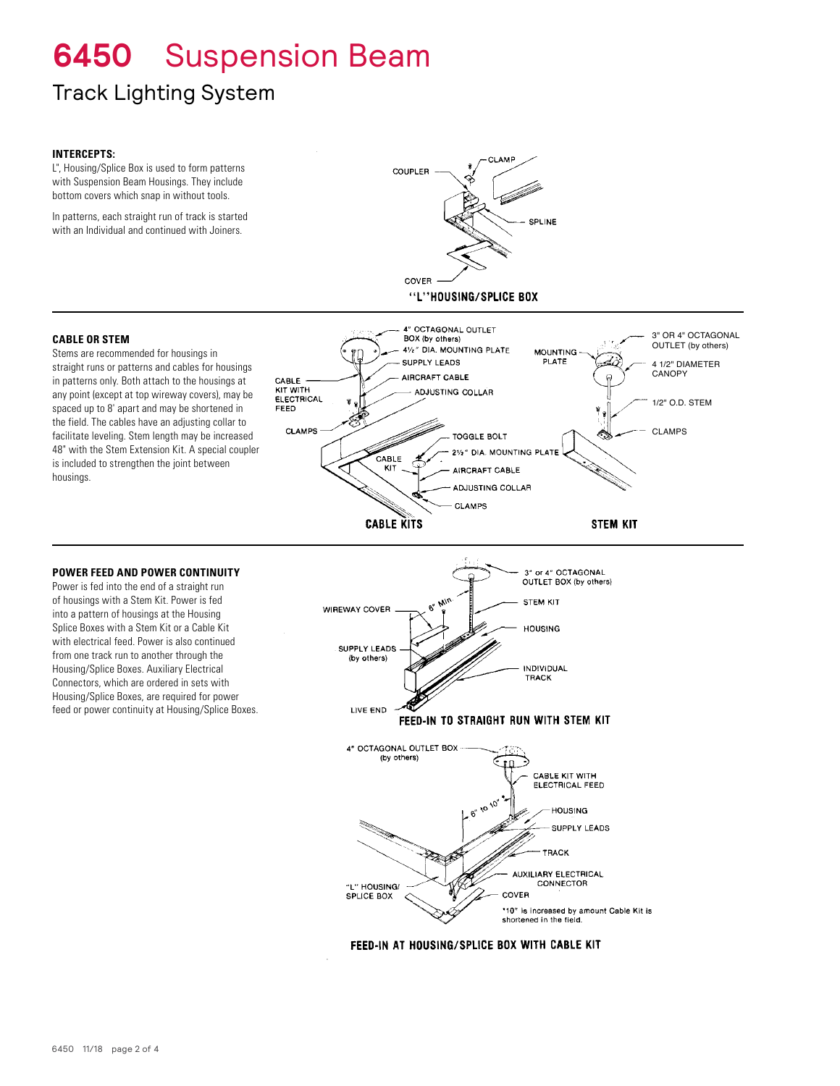# **6450** Suspension Beam

## Track Lighting System

### **INTERCEPTS:**

L", Housing/Splice Box is used to form patterns with Suspension Beam Housings. They include bottom covers which snap in without tools.

In patterns, each straight run of track is started with an Individual and continued with Joiners.



#### **CABLE OR STEM**

Stems are recommended for housings in straight runs or patterns and cables for housings in patterns only. Both attach to the housings at any point (except at top wireway covers), may be spaced up to 8' apart and may be shortened in the field. The cables have an adjusting collar to facilitate leveling. Stem length may be increased 48" with the Stem Extension Kit. A special coupler is included to strengthen the joint between housings.

### **POWER FEED AND POWER CONTINUITY**

Power is fed into the end of a straight run of housings with a Stem Kit. Power is fed into a pattern of housings at the Housing Splice Boxes with a Stem Kit or a Cable Kit with electrical feed. Power is also continued from one track run to another through the Housing/Splice Boxes. Auxiliary Electrical Connectors, which are ordered in sets with Housing/Splice Boxes, are required for power feed or power continuity at Housing/Splice Boxes.





FEED-IN AT HOUSING/SPLICE BOX WITH CABLE KIT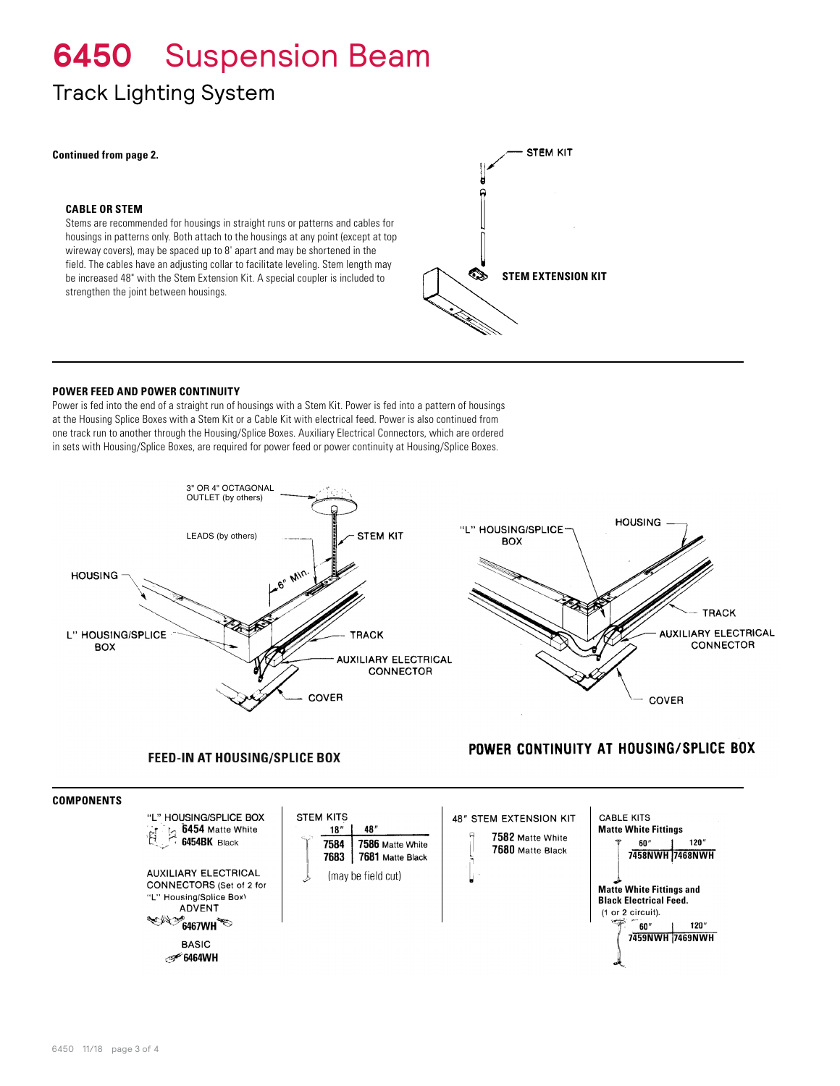# **6450** Suspension Beam

### Track Lighting System

#### **Continued from page 2.**

#### **CABLE OR STEM**

Stems are recommended for housings in straight runs or patterns and cables for housings in patterns only. Both attach to the housings at any point (except at top wireway covers), may be spaced up to 8' apart and may be shortened in the field. The cables have an adjusting collar to facilitate leveling. Stem length may be increased 48" with the Stem Extension Kit. A special coupler is included to strengthen the joint between housings.



### **POWER FEED AND POWER CONTINUITY**

Power is fed into the end of a straight run of housings with a Stem Kit. Power is fed into a pattern of housings at the Housing Splice Boxes with a Stem Kit or a Cable Kit with electrical feed. Power is also continued from one track run to another through the Housing/Splice Boxes. Auxiliary Electrical Connectors, which are ordered in sets with Housing/Splice Boxes, are required for power feed or power continuity at Housing/Splice Boxes.